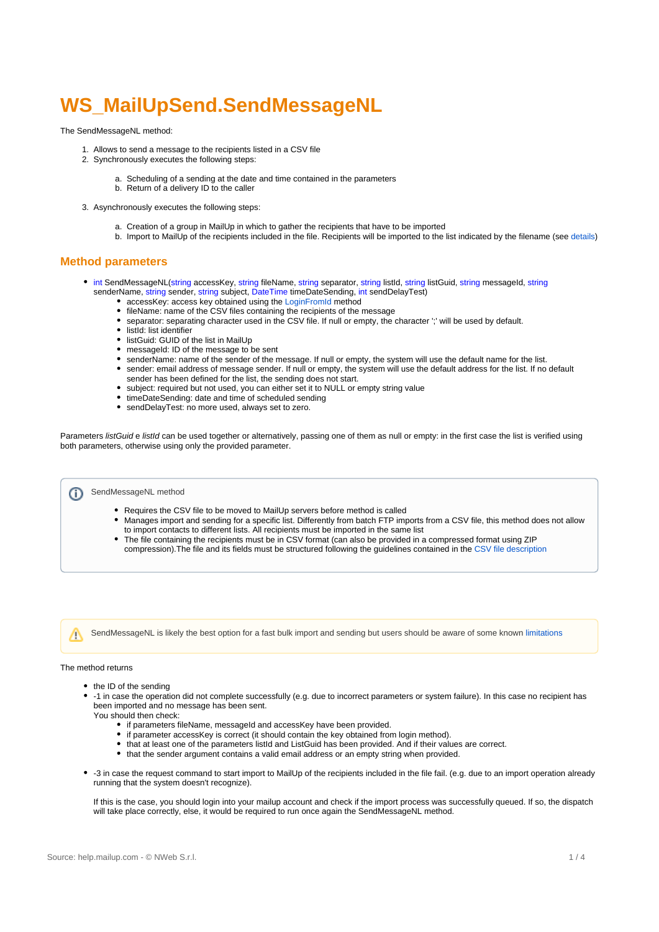# **WS\_MailUpSend.SendMessageNL**

The SendMessageNL method:

- 1. Allows to send a message to the recipients listed in a CSV file
- 2. Synchronously executes the following steps:
	- a. Scheduling of a sending at the date and time contained in the parameters b. Return of a delivery ID to the caller
- 3. Asynchronously executes the following steps:
	- a. Creation of a group in MailUp in which to gather the recipients that have to be imported
	- b. Import to MailUp of the recipients included in the file. Recipients will be imported to the list indicated by the filename (see [details\)](https://help.mailup.com/display/mailupapi/CSV+files+to+be+used+with+SendMessageNL)

### **Method parameters**

- int SendMessageNL(string accessKey, string fileName, string separator, string listId, string listGuid, string messageId, string senderName, string sender, string subject, DateTime timeDateSending, int sendDelayTest)
	- accessKey: access key obtained using the [LoginFromId](https://help.mailup.com/display/mailupapi/WebService+MailUpSend) method
	- fileName: name of the CSV files containing the recipients of the message
	- separator: separating character used in the CSV file. If null or empty, the character ';' will be used by default.
	- listId: list identifier
	- listGuid: GUID of the list in MailUp
	- messageId: ID of the message to be sent
	- senderName: name of the sender of the message. If null or empty, the system will use the default name for the list.
	- sender: email address of message sender. If null or empty, the system will use the default address for the list. If no default sender has been defined for the list, the sending does not start.
	- subject: required but not used, you can either set it to NULL or empty string value
	- timeDateSending: date and time of scheduled sending
	- sendDelayTest: no more used, always set to zero.

Parameters listGuid e listId can be used together or alternatively, passing one of them as null or empty: in the first case the list is verified using both parameters, otherwise using only the provided parameter.

SendMessageNL method ന

- Requires the CSV file to be moved to MailUp servers before method is called
- Manages import and sending for a specific list. Differently from batch FTP imports from a CSV file, this method does not allow to import contacts to different lists. All recipients must be imported in the same list
- The file containing the recipients must be in CSV format (can also be provided in a compressed format using ZIP compression).The file and its fields must be structured following the guidelines contained in the [CSV file description](https://help.mailup.com/display/mailupapi/CSV+files+to+be+used+with+SendMessageNL)

SendMessageNL is likely the best option for a fast bulk import and sending but users should be aware of some known [limitations](https://help.mailup.com/display/mailupapi/Known+limitations+for+SendMessageNL)

#### The method returns

Λ

- the ID of the sending
- -1 in case the operation did not complete successfully (e.g. due to incorrect parameters or system failure). In this case no recipient has been imported and no message has been sent.
- You should then check:
	- if parameters fileName, messageId and accessKey have been provided.
	- if parameter accessKey is correct (it should contain the key obtained from login method).
	- that at least one of the parameters listId and ListGuid has been provided. And if their values are correct.
	- that the sender argument contains a valid email address or an empty string when provided.
- -3 in case the request command to start import to MailUp of the recipients included in the file fail. (e.g. due to an import operation already running that the system doesn't recognize).

If this is the case, you should login into your mailup account and check if the import process was successfully queued. If so, the dispatch will take place correctly, else, it would be required to run once again the SendMessageNL method.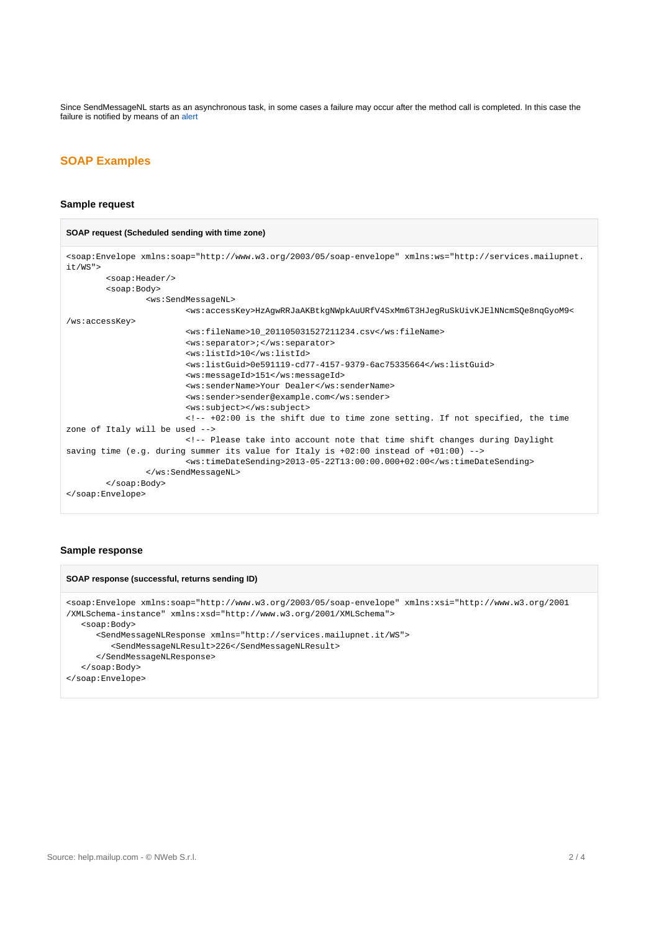Since SendMessageNL starts as an asynchronous task, in some cases a failure may occur after the method call is completed. In this case the failure is notified by means of an [alert](https://help.mailup.com/display/mailupapi/SendMessageNL+alerts)

# **SOAP Examples**

#### **Sample request**

#### **SOAP request (Scheduled sending with time zone)**

```
<soap:Envelope xmlns:soap="http://www.w3.org/2003/05/soap-envelope" xmlns:ws="http://services.mailupnet.
it/WS">
         <soap:Header/>
         <soap:Body>
                 <ws:SendMessageNL>
                         <ws:accessKey>HzAgwRRJaAKBtkgNWpkAuURfV4SxMm6T3HJegRuSkUivKJElNNcmSQe8nqGyoM9<
/ws:accessKey>
                         <ws:fileName>10_201105031527211234.csv</ws:fileName>
                         <ws:separator>;</ws:separator>
                         <ws:listId>10</ws:listId>
                         <ws:listGuid>0e591119-cd77-4157-9379-6ac75335664</ws:listGuid>
                         <ws:messageId>151</ws:messageId>
                         <ws:senderName>Your Dealer</ws:senderName>
                         <ws:sender>sender@example.com</ws:sender>
                         <ws:subject></ws:subject>
                         <!-- +02:00 is the shift due to time zone setting. If not specified, the time 
zone of Italy will be used -->
                         <!-- Please take into account note that time shift changes during Daylight 
saving time (e.g. during summer its value for Italy is +02:00 instead of +01:00) -->
                         <ws:timeDateSending>2013-05-22T13:00:00.000+02:00</ws:timeDateSending>
                 </ws:SendMessageNL>
         </soap:Body>
</soap:Envelope>
```
## **Sample response**

```
SOAP response (successful, returns sending ID)
<soap:Envelope xmlns:soap="http://www.w3.org/2003/05/soap-envelope" xmlns:xsi="http://www.w3.org/2001
/XMLSchema-instance" xmlns:xsd="http://www.w3.org/2001/XMLSchema">
   <soap:Body>
       <SendMessageNLResponse xmlns="http://services.mailupnet.it/WS">
          <SendMessageNLResult>226</SendMessageNLResult>
       </SendMessageNLResponse>
    </soap:Body>
</soap:Envelope>
```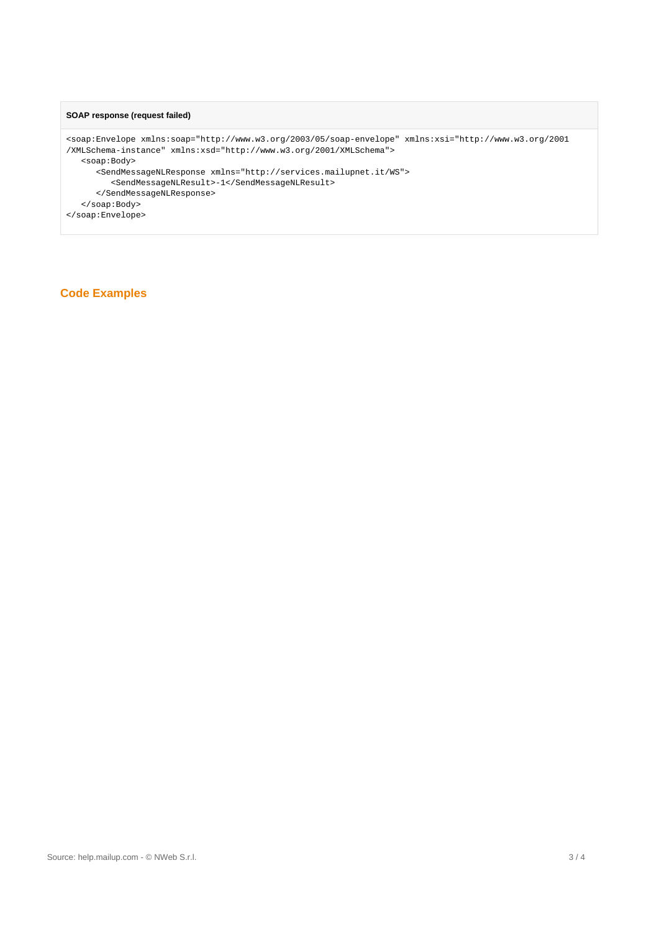## **SOAP response (request failed)**

```
<soap:Envelope xmlns:soap="http://www.w3.org/2003/05/soap-envelope" xmlns:xsi="http://www.w3.org/2001
/XMLSchema-instance" xmlns:xsd="http://www.w3.org/2001/XMLSchema">
   <soap:Body>
      <SendMessageNLResponse xmlns="http://services.mailupnet.it/WS">
         <SendMessageNLResult>-1</SendMessageNLResult>
      </SendMessageNLResponse>
   </soap:Body>
</soap:Envelope>
```
# **Code Examples**